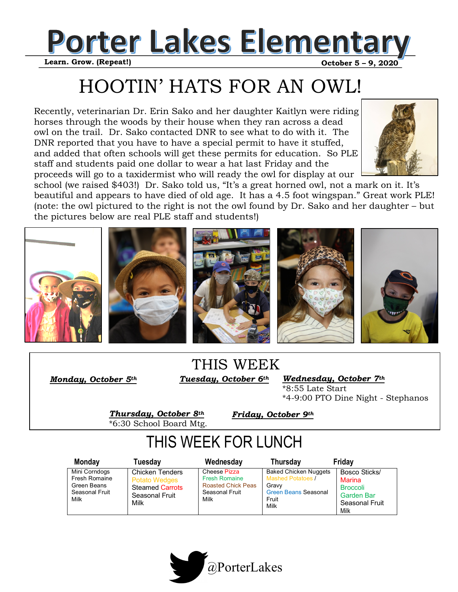

HOOTIN' HATS FOR AN OWL!

Recently, veterinarian Dr. Erin Sako and her daughter Kaitlyn were riding horses through the woods by their house when they ran across a dead owl on the trail. Dr. Sako contacted DNR to see what to do with it. The DNR reported that you have to have a special permit to have it stuffed, and added that often schools will get these permits for education. So PLE staff and students paid one dollar to wear a hat last Friday and the proceeds will go to a taxidermist who will ready the owl for display at our



school (we raised \$403!) Dr. Sako told us, "It's a great horned owl, not a mark on it. It's beautiful and appears to have died of old age. It has a 4.5 foot wingspan." Great work PLE! (note: the owl pictured to the right is not the owl found by Dr. Sako and her daughter – but the pictures below are real PLE staff and students!)



## *Tuesday, October 6th*  THIS WEEK

*Wednesday, October 7th*  \*8:55 Late Start \*4-9:00 PTO Dine Night - Stephanos

*Thursday, October 8th*  \*6:30 School Board Mtg.

*Monday, October 5th* 

*Friday, October 9th* 

## THIS WEEK FOR LUNCH

| Monday                                                                  | Tuesday                                                                                            | Wednesday                                                                                   | <b>Thursday</b>                                                                                            | Friday                                                                             |
|-------------------------------------------------------------------------|----------------------------------------------------------------------------------------------------|---------------------------------------------------------------------------------------------|------------------------------------------------------------------------------------------------------------|------------------------------------------------------------------------------------|
| Mini Corndogs<br>Fresh Romaine<br>Green Beans<br>Seasonal Fruit<br>Milk | <b>Chicken Tenders</b><br><b>Potato Wedges</b><br><b>Steamed Carrots</b><br>Seasonal Fruit<br>Milk | Cheese Pizza<br><b>Fresh Romaine</b><br><b>Roasted Chick Peas</b><br>Seasonal Fruit<br>Milk | <b>Baked Chicken Nuggets</b><br>Mashed Potatoes /<br>Gravy<br><b>Green Beans Seasonal</b><br>Fruit<br>Milk | Bosco Sticks/<br>Marina<br><b>Broccoli</b><br>Garden Bar<br>Seasonal Fruit<br>Milk |